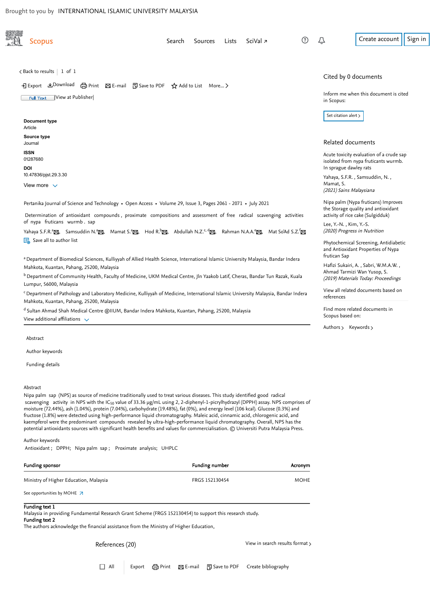<span id="page-0-3"></span>

[Author keywords](#page-0-1)

[Funding details](#page-0-2)

#### <span id="page-0-0"></span>Abstract

Nipa palm sap (NPS) as source of medicine traditionally used to treat various diseases. This study identified good radical scavenging  $\,$  activity  $\,$  in NPS with the IC $_{50}$  value of 33.36  $\mu$ g/mL using 2, 2-diphenyl-1-picrylhydrazyl (DPPH) assay. NPS comprises of moisture (72.44%), ash (1.04%), protein (7.04%), carbohydrate (19.48%), fat (0%), and energy level (106 kcal). Glucose (0.3%) and fructose (1.8%) were detected using high-performance liquid chromatography. Maleic acid, cinnamic acid, chlorogenic acid, and kaempferol were the predominant compounds revealed by ultra-high-performance liquid chromatography. Overall, NPS has the potential antioxidants sources with significant health benefits and values for commercialisation. © Universiti Putra Malaysia Press.

<span id="page-0-1"></span>Author keywords

Antioxidant ; DPPH; Nipa palm sap ; Proximate analysis; UHPLC

<span id="page-0-2"></span>

| Funding sponsor                                    | Funding number | Acronym     |
|----------------------------------------------------|----------------|-------------|
| Ministry of Higher Education, Malaysia             | FRGS 152130454 | <b>MOHE</b> |
| See opportunities by MOHE $\overline{\phantom{a}}$ |                |             |

Funding text 1

Malaysia in providing Fundamental Research Grant Scheme (FRGS 152130454) to support this research study.

#### Funding text 2

The authors acknowledge the financial assistance from the Ministry of Higher Education,

References (20) and the contract of the [View in search results format](https://www-scopus-com.ezlib.iium.edu.my/search/submit/references.uri?sort=plf-f&src=r&imp=t&sid=4a6f229baad561d222c54e250979d31f&sot=rec&sdt=citedreferences&sl=23&s=EID%282-s2.0-85112027095%29&origin=recordpage&citeCnt=1&citingId=2-s2.0-85112027095)  $\rightarrow$ 

□ All Export 日 Print ⊠ E-mail 可 Save to PDF Create bibliography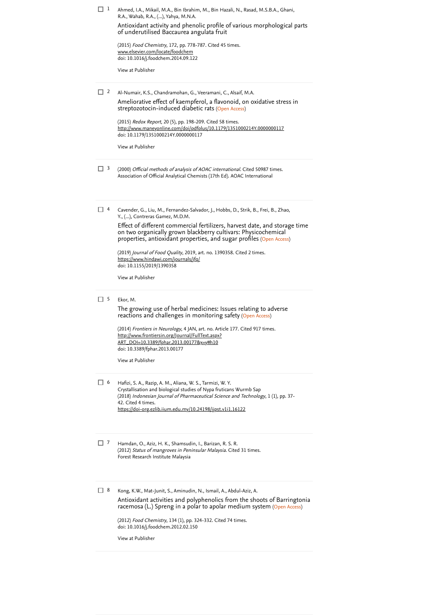| נ[        | Ahmed, I.A., Mikail, M.A., Bin Ibrahim, M., Bin Hazali, N., Rasad, M.S.B.A., Ghani,<br>R.A., Wahab, R.A., (), Yahya, M.N.A.<br>Antioxidant activity and phenolic profile of various morphological parts<br>of underutilised Baccaurea angulata fruit<br>(2015) Food Chemistry, 172, pp. 778-787. Cited 45 times.<br><u>www.elsevier.com/locate/foodchem</u><br>doi: 10.1016/j.foodchem.2014.09.122<br>View at Publisher                                                                                                      |
|-----------|------------------------------------------------------------------------------------------------------------------------------------------------------------------------------------------------------------------------------------------------------------------------------------------------------------------------------------------------------------------------------------------------------------------------------------------------------------------------------------------------------------------------------|
| 2 ∃       | Al-Numair, K.S., Chandramohan, G., Veeramani, C., Alsaif, M.A.<br>Ameliorative effect of kaempferol, a flavonoid, on oxidative stress in<br>streptozotocin-induced diabetic rats (Open Access)<br>(2015) Redox Report, 20 (5), pp. 198-209. Cited 58 times.<br>http://www.maneyonline.com/doi/pdfplus/10.1179/1351000214Y.0000000117<br>doi: 10.1179/1351000214Y.0000000117<br>View at Publisher                                                                                                                             |
| $\Box$ 3  | (2000) <i>Official methods of analysis of AOAC international</i> . Cited 50987 times.<br>Association of Official Analytical Chemists (17th Ed). AOAC International                                                                                                                                                                                                                                                                                                                                                           |
| $\Box$ 4  | Cavender, G., Liu, M., Fernandez-Salvador, J., Hobbs, D., Strik, B., Frei, B., Zhao,<br>Y., (), Contreras Gamez, M.D.M.<br>Effect of different commercial fertilizers, harvest date, and storage time<br>on two organically grown blackberry cultivars: Physicochemical<br>properties, antioxidant properties, and sugar profiles (Open Access)<br>(2019) <i>Journal of Food Quality</i> , 2019, art. no. 1390358. Cited 2 times.<br>https://www.hindawi.com/journals/jfq/<br>doi: 10.1155/2019/1390358<br>View at Publisher |
| $\Box$ 5  | Ekor, M.<br>The growing use of herbal medicines: Issues relating to adverse<br>reactions and challenges in monitoring safety (Open Access)<br>(2014) Frontiers in Neurology, 4 JAN, art. no. Article 177. Cited 917 times.<br><u> http://www.frontiersin.org/Journal/FullText.aspx?</u><br><u>ART_DOI=10.3389/fphar.2013.00177&amp;x=y#h10</u><br>doi: 10.3389/fphar.2013.00177<br>View at Publisher                                                                                                                         |
| $\perp$ 6 | Hafizi, S. A., Razip, A. M., Aliana, W. S., Tarmizi, W. Y.<br>Crystallisation and biological studies of Nypa fruticans Wurmb Sap<br>(2018) Indonesian Journal of Pharmaceutical Science and Technology, 1 (1), pp. 37-<br>42. Cited 4 times.<br>https://doi-org.ezlib.iium.edu.my/10.24198/ijpst.v1i1.16122                                                                                                                                                                                                                  |
| $\Box$ 7  | Hamdan, O., Aziz, H. K., Shamsudin, I., Barizan, R. S. R.<br>(2012) Status of mangroves in Peninsular Malaysia. Cited 31 times.<br>Forest Research Institute Malaysia                                                                                                                                                                                                                                                                                                                                                        |
| 8⊺        | Kong, K.W., Mat-Junit, S., Aminudin, N., Ismail, A., Abdul-Aziz, A.<br>Antioxidant activities and polyphenolics from the shoots of Barringtonia<br>racemosa (L.) Spreng in a polar to apolar medium system (Open Access)<br>(2012) Food Chemistry, 134 (1), pp. 324-332. Cited 74 times.<br>doi: 10.1016/j.foodchem.2012.02.150<br>View at Publisher                                                                                                                                                                         |
|           |                                                                                                                                                                                                                                                                                                                                                                                                                                                                                                                              |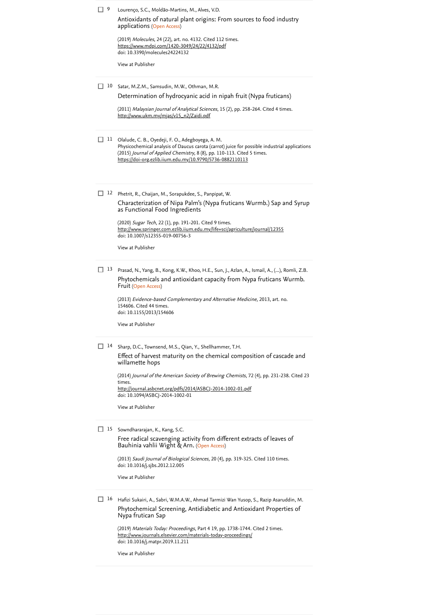| 9  | Lourenço, S.C., Moldão-Martins, M., Alves, V.D.                                                                                                                                                                                                                                            |
|----|--------------------------------------------------------------------------------------------------------------------------------------------------------------------------------------------------------------------------------------------------------------------------------------------|
|    | Antioxidants of natural plant origins: From sources to food industry<br>applications (Open Access)                                                                                                                                                                                         |
|    | (2019) Molecules, 24 (22), art. no. 4132. Cited 112 times.<br><u>https://www.mdpi.com/1420-3049/24/22/4132/pdf</u><br>doi: 10.3390/molecules24224132                                                                                                                                       |
|    | View at Publisher                                                                                                                                                                                                                                                                          |
| 10 | Satar, M.Z.M., Samsudin, M.W., Othman, M.R.                                                                                                                                                                                                                                                |
|    | Determination of hydrocyanic acid in nipah fruit (Nypa fruticans)                                                                                                                                                                                                                          |
|    | (2011) Malaysian Journal of Analytical Sciences, 15 (2), pp. 258-264. Cited 4 times.<br><u>http://www.ukm.my/mjas/v15_n2/Zaidi.pdf</u>                                                                                                                                                     |
| 11 | Olalude, C. B., Oyedeji, F. O., Adegboyega, A. M.<br>Physicochemical analysis of Daucus carota (carrot) juice for possible industrial applications<br>(2015) Journal of Applied Chemistry, 8 (8), pp. 110-113. Cited 5 times.<br>https://doi-org.ezlib.iium.edu.my/10.9790/5736-0882110113 |
| 12 | Phetrit, R., Chaijan, M., Sorapukdee, S., Panpipat, W.                                                                                                                                                                                                                                     |
|    | Characterization of Nipa Palm's (Nypa fruticans Wurmb.) Sap and Syrup<br>as Functional Food Ingredients                                                                                                                                                                                    |
|    | (2020) Sugar Tech, 22 (1), pp. 191-201. Cited 9 times.<br>http://www.springer.com.ezlib.iium.edu.my/life+sci/agriculture/journal/12355                                                                                                                                                     |
|    | doi: 10.1007/s12355-019-00756-3<br>View at Publisher                                                                                                                                                                                                                                       |
|    |                                                                                                                                                                                                                                                                                            |
| 13 | Prasad, N., Yang, B., Kong, K.W., Khoo, H.E., Sun, J., Azlan, A., Ismail, A., (), Romli, Z.B.<br>Phytochemicals and antioxidant capacity from Nypa fruticans Wurmb.<br>Fruit (Open Access)                                                                                                 |
|    | (2013) Evidence-based Complementary and Alternative Medicine, 2013, art. no.<br>154606. Cited 44 times.<br>doi: 10.1155/2013/154606                                                                                                                                                        |
|    | View at Publisher                                                                                                                                                                                                                                                                          |
| 14 | Sharp, D.C., Townsend, M.S., Qian, Y., Shellhammer, T.H.                                                                                                                                                                                                                                   |
|    | Effect of harvest maturity on the chemical composition of cascade and<br>willamette hops                                                                                                                                                                                                   |
|    | (2014) Journal of the American Society of Brewing Chemists, 72 (4), pp. 231-238. Cited 23<br>times.                                                                                                                                                                                        |
|    | http://journal.asbcnet.org/pdfs/2014/ASBCJ-2014-1002-01.pdf<br>doi: 10.1094/ASBCJ-2014-1002-01                                                                                                                                                                                             |
|    | View at Publisher                                                                                                                                                                                                                                                                          |
| 15 | Sowndhararajan, K., Kang, S.C.                                                                                                                                                                                                                                                             |
|    | Free radical scavenging activity from different extracts of leaves of<br>Bauhinia vahlii Wight & Arn. (Open Access)                                                                                                                                                                        |
|    | (2013) Saudi Journal of Biological Sciences, 20 (4), pp. 319-325. Cited 110 times.<br>doi: 10.1016/j.sjbs.2012.12.005                                                                                                                                                                      |
|    | View at Publisher                                                                                                                                                                                                                                                                          |
| 16 | Hafizi Sukairi, A., Sabri, W.M.A.W., Ahmad Tarmizi Wan Yusop, S., Razip Asaruddin, M.<br>Phytochemical Screening, Antidiabetic and Antioxidant Properties of<br>Nypa frutican Sap                                                                                                          |
|    |                                                                                                                                                                                                                                                                                            |

(2019) *Materials Today: Proceedings*, Part 4 19, pp. 1738-1744. Cited 2 times. doi: 10.1016/j.matpr.2019.11.211 (2019) *Materials Today: Proceedings*, Part 4 19, pp. 1738-1744. [Cited 2 times](https://www-scopus-com.ezlib.iium.edu.my/search/submit/citedby.uri?eid=2-s2.0-85112027095&refeid=2-s2.0-85087847597&src=s&origin=reflist&refstat=core)<br><u><http://www.journals.elsevier.com/materials-today-proceedings/></u>

[View at Publisher](https://www-scopus-com.ezlib.iium.edu.my/redirect/linking.uri?targetURL=https%3a%2f%2fdoi.org%2f10.1016%2fj.matpr.2019.11.211&locationID=3&categoryID=4&eid=2-s2.0-85087847597&issn=22147853&linkType=ViewAtPublisher&year=2019&origin=reflist&dig=58e659eff58a050d0f53efdd9f3ef6a7)